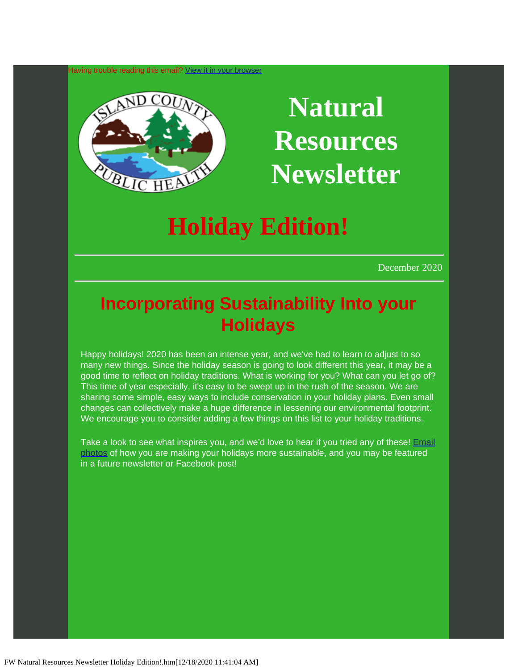Having trouble reading this email? [View](https://lnks.gd/l/eyJhbGciOiJIUzI1NiJ9.eyJidWxsZXRpbl9saW5rX2lkIjoxMDAsInVyaSI6ImJwMjpjbGljayIsImJ1bGxldGluX2lkIjoiMjAyMDEyMTguMzIyNTQ2OTEiLCJ1cmwiOiJodHRwczovL2NvbnRlbnQuZ292ZGVsaXZlcnkuY29tL2FjY291bnRzL1dBQ09JU0xBTkQvYnVsbGV0aW5zLzJiMWEzMzkifQ.Es5oqnoFz91dSkXsRbdXDWkXtOv7ppd44Skir5g_2i0/s/1119264387/br/92123665987-l) [it in your browser](https://lnks.gd/l/eyJhbGciOiJIUzI1NiJ9.eyJidWxsZXRpbl9saW5rX2lkIjoxMDAsInVyaSI6ImJwMjpjbGljayIsImJ1bGxldGluX2lkIjoiMjAyMDEyMTguMzIyNTQ2OTEiLCJ1cmwiOiJodHRwczovL2NvbnRlbnQuZ292ZGVsaXZlcnkuY29tL2FjY291bnRzL1dBQ09JU0xBTkQvYnVsbGV0aW5zLzJiMWEzMzkifQ.Es5oqnoFz91dSkXsRbdXDWkXtOv7ppd44Skir5g_2i0/s/1119264387/br/92123665987-l)



# **Natural Resources Newsletter**

## **Holiday Edition!**

December 2020

### **Incorporating Sustainability Into your Holidays**

Happy holidays! 2020 has been an intense year, and we've had to learn to adjust to so many new things. Since the holiday season is going to look different this year, it may be a good time to reflect on holiday traditions. What is working for you? What can you let go of? This time of year especially, it's easy to be swept up in the rush of the season. We are sharing some simple, easy ways to include conservation in your holiday plans. Even small changes can collectively make a huge difference in lessening our environmental footprint. We encourage you to consider adding a few things on this list to your holiday traditions.

Take a look to see what inspires you, and we'd love to hear if you tried any of these! [Email](mailto:a.prusha@islandcountywa.gov) [photos](mailto:a.prusha@islandcountywa.gov) of how you are making your holidays more sustainable, and you may be featured in a future newsletter or Facebook post!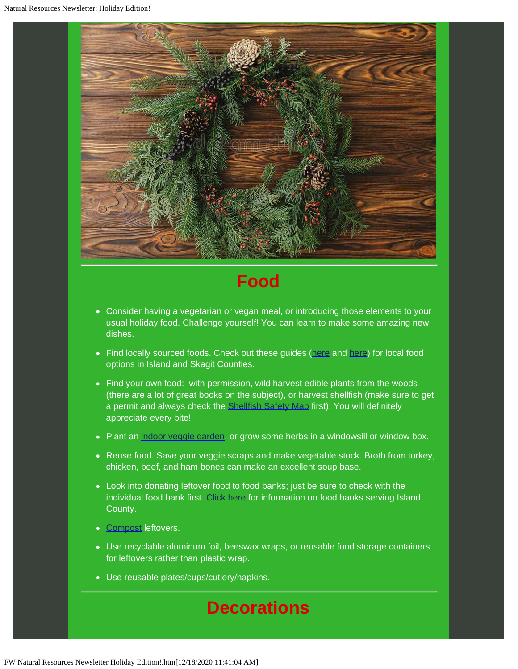

### **Food**

- Consider having a vegetarian or vegan meal, or introducing those elements to your usual holiday food. Challenge yourself! You can learn to make some amazing new dishes.
- Find locally sourced foods. Check out these guides ([here](https://lnks.gd/l/eyJhbGciOiJIUzI1NiJ9.eyJidWxsZXRpbl9saW5rX2lkIjoxMDIsInVyaSI6ImJwMjpjbGljayIsImJ1bGxldGluX2lkIjoiMjAyMDEyMTguMzIyNTQ2OTEiLCJ1cmwiOiJodHRwczovL3doaWRiZXlmYXJtc3RhbmRzLmNvbS8_dXRtX2NvbnRlbnQ9JnV0bV9tZWRpdW09ZW1haWwmdXRtX25hbWU9JnV0bV9zb3VyY2U9Z292ZGVsaXZlcnkmdXRtX3Rlcm09In0.ePdCtKiAoB69p7UCadl12apla0aLnRRGWR02iQNqu58/s/1119264387/br/92123665987-l) and [here](https://lnks.gd/l/eyJhbGciOiJIUzI1NiJ9.eyJidWxsZXRpbl9saW5rX2lkIjoxMDMsInVyaSI6ImJwMjpjbGljayIsImJ1bGxldGluX2lkIjoiMjAyMDEyMTguMzIyNTQ2OTEiLCJ1cmwiOiJodHRwOi8vd3d3LnNsb3dmb29kc2thZ2l0Lm9yZy9TbG93X0Zvb2RfU2thZ2l0L0Zhcm1fU3RhbmRzLmh0bWw_dXRtX2NvbnRlbnQ9JnV0bV9tZWRpdW09ZW1haWwmdXRtX25hbWU9JnV0bV9zb3VyY2U9Z292ZGVsaXZlcnkmdXRtX3Rlcm09In0.CDfGzK-j3ZCMWV2EgKjBdQ7tyKWF3g-oKr4u6Mr_pHQ/s/1119264387/br/92123665987-l)) for local food options in Island and Skagit Counties.
- Find your own food: with permission, wild harvest edible plants from the woods (there are a lot of great books on the subject), or harvest shellfish (make sure to get a permit and always check the **[Shellfish Safety Map](https://lnks.gd/l/eyJhbGciOiJIUzI1NiJ9.eyJidWxsZXRpbl9saW5rX2lkIjoxMDQsInVyaSI6ImJwMjpjbGljayIsImJ1bGxldGluX2lkIjoiMjAyMDEyMTguMzIyNTQ2OTEiLCJ1cmwiOiJodHRwczovL2ZvcnRyZXNzLndhLmdvdi9kb2gvYmlvdG94aW4vYmlvdG94aW4uaHRtbD91dG1fY29udGVudD0mdXRtX21lZGl1bT1lbWFpbCZ1dG1fbmFtZT0mdXRtX3NvdXJjZT1nb3ZkZWxpdmVyeSZ1dG1fdGVybT0ifQ.R8jW26MyLEd4naJiJVNVEG6MCe-T7lOTORqmKahD_8M/s/1119264387/br/92123665987-l) first**). You will definitely appreciate every bite!
- Plant an [indoor veggie garden](https://lnks.gd/l/eyJhbGciOiJIUzI1NiJ9.eyJidWxsZXRpbl9saW5rX2lkIjoxMDUsInVyaSI6ImJwMjpjbGljayIsImJ1bGxldGluX2lkIjoiMjAyMDEyMTguMzIyNTQ2OTEiLCJ1cmwiOiJodHRwczovL3d3dy50aGVzcHJ1Y2UuY29tL2hvdy10by1ncm93LXZlZ2V0YWJsZXMtaW5kb29ycy0xNDAzMTgzP3V0bV9jb250ZW50PSZ1dG1fbWVkaXVtPWVtYWlsJnV0bV9uYW1lPSZ1dG1fc291cmNlPWdvdmRlbGl2ZXJ5JnV0bV90ZXJtPSJ9.XzZu7X6TcjqjBv4MmxtxoqI8ciFc8e4tkrnix83WFPM/s/1119264387/br/92123665987-l), or grow some herbs in a windowsill or window box.
- Reuse food. Save your veggie scraps and make vegetable stock. Broth from turkey, chicken, beef, and ham bones can make an excellent soup base.
- Look into donating leftover food to food banks; just be sure to check with the individual food bank first. [Click here](https://lnks.gd/l/eyJhbGciOiJIUzI1NiJ9.eyJidWxsZXRpbl9saW5rX2lkIjoxMDYsInVyaSI6ImJwMjpjbGljayIsImJ1bGxldGluX2lkIjoiMjAyMDEyMTguMzIyNTQ2OTEiLCJ1cmwiOiJodHRwczovL3d3dy5pc2xhbmRjb3VudHl3YS5nb3YvSGVhbHRoL0FIQy9QYWdlcy9TTkFQLUVkdWNhdGlvbi5hc3B4P3V0bV9jb250ZW50PSZ1dG1fbWVkaXVtPWVtYWlsJnV0bV9uYW1lPSZ1dG1fc291cmNlPWdvdmRlbGl2ZXJ5JnV0bV90ZXJtPSJ9.LN5Dt-j30lYMMYjA2XpKhZN0FHl2ewpknJEFiIuyhKM/s/1119264387/br/92123665987-l) for information on food banks serving Island County.
- [Compost](https://lnks.gd/l/eyJhbGciOiJIUzI1NiJ9.eyJidWxsZXRpbl9saW5rX2lkIjoxMDcsInVyaSI6ImJwMjpjbGljayIsImJ1bGxldGluX2lkIjoiMjAyMDEyMTguMzIyNTQ2OTEiLCJ1cmwiOiJodHRwOi8vd3d3LmhvbWVjb21wb3N0aW5nbWFkZWVhc3kuY29tL2Zvb2RzY3JhcHMuaHRtbD91dG1fY29udGVudD0mdXRtX21lZGl1bT1lbWFpbCZ1dG1fbmFtZT0mdXRtX3NvdXJjZT1nb3ZkZWxpdmVyeSZ1dG1fdGVybT0ifQ.XYMm0ik1zt2OPohQr18b2c8bV8L51y41_2yFQtKWPLY/s/1119264387/br/92123665987-l) leftovers.
- Use recyclable aluminum foil, beeswax wraps, or reusable food storage containers for leftovers rather than plastic wrap.
- Use reusable plates/cups/cutlery/napkins.

### **Decorations**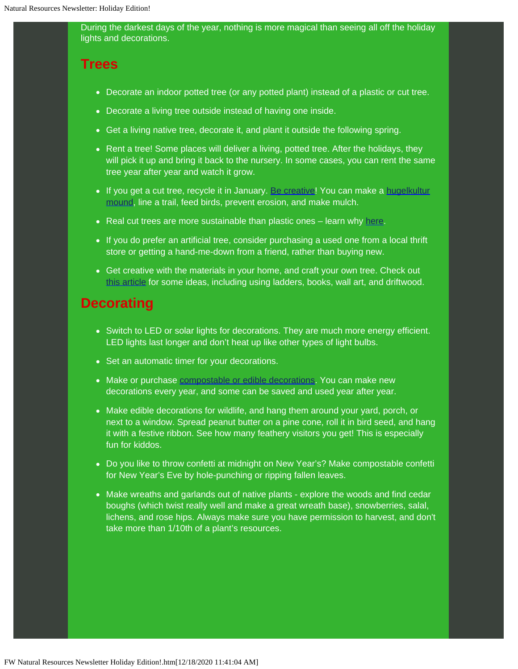During the darkest days of the year, nothing is more magical than seeing all off the holiday lights and decorations.

#### **Trees**

- Decorate an indoor potted tree (or any potted plant) instead of a plastic or cut tree.
- Decorate a living tree outside instead of having one inside.
- Get a living native tree, decorate it, and plant it outside the following spring.
- Rent a tree! Some places will deliver a living, potted tree. After the holidays, they will pick it up and bring it back to the nursery. In some cases, you can rent the same tree year after year and watch it grow.
- If you get a cut tree, recycle it in January. [Be creative!](https://lnks.gd/l/eyJhbGciOiJIUzI1NiJ9.eyJidWxsZXRpbl9saW5rX2lkIjoxMDgsInVyaSI6ImJwMjpjbGljayIsImJ1bGxldGluX2lkIjoiMjAyMDEyMTguMzIyNTQ2OTEiLCJ1cmwiOiJodHRwczovL3JlYWxjaHJpc3RtYXN0cmVlcy5vcmcvYWxsLWFib3V0LXRyZWVzL2hvdy10by1yZWN5Y2xlLz91dG1fY29udGVudD0mdXRtX21lZGl1bT1lbWFpbCZ1dG1fbmFtZT0mdXRtX3NvdXJjZT1nb3ZkZWxpdmVyeSZ1dG1fdGVybT0ifQ.l9QDBnly_16bOvsSmSadVGPeSlQZ-LK3bTt-TGLkcZI/s/1119264387/br/92123665987-l) You can make a [hugelkultur](https://lnks.gd/l/eyJhbGciOiJIUzI1NiJ9.eyJidWxsZXRpbl9saW5rX2lkIjoxMDksInVyaSI6ImJwMjpjbGljayIsImJ1bGxldGluX2lkIjoiMjAyMDEyMTguMzIyNTQ2OTEiLCJ1cmwiOiJodHRwczovL3d3dy5wZXJtYWN1bHR1cmUuY28udWsvYXJ0aWNsZXMvbWFueS1iZW5lZml0cy1odWdlbGt1bHR1cj91dG1fY29udGVudD0mdXRtX21lZGl1bT1lbWFpbCZ1dG1fbmFtZT0mdXRtX3NvdXJjZT1nb3ZkZWxpdmVyeSZ1dG1fdGVybT0ifQ.v_jXz14R8Khw8bzytbK4HryUyxcs3dkzoaYJAPMg48c/s/1119264387/br/92123665987-l) [mound,](https://lnks.gd/l/eyJhbGciOiJIUzI1NiJ9.eyJidWxsZXRpbl9saW5rX2lkIjoxMDksInVyaSI6ImJwMjpjbGljayIsImJ1bGxldGluX2lkIjoiMjAyMDEyMTguMzIyNTQ2OTEiLCJ1cmwiOiJodHRwczovL3d3dy5wZXJtYWN1bHR1cmUuY28udWsvYXJ0aWNsZXMvbWFueS1iZW5lZml0cy1odWdlbGt1bHR1cj91dG1fY29udGVudD0mdXRtX21lZGl1bT1lbWFpbCZ1dG1fbmFtZT0mdXRtX3NvdXJjZT1nb3ZkZWxpdmVyeSZ1dG1fdGVybT0ifQ.v_jXz14R8Khw8bzytbK4HryUyxcs3dkzoaYJAPMg48c/s/1119264387/br/92123665987-l) line a trail, feed birds, prevent erosion, and make mulch.
- Real cut trees are more sustainable than plastic ones learn why [here](https://lnks.gd/l/eyJhbGciOiJIUzI1NiJ9.eyJidWxsZXRpbl9saW5rX2lkIjoxMTAsInVyaSI6ImJwMjpjbGljayIsImJ1bGxldGluX2lkIjoiMjAyMDEyMTguMzIyNTQ2OTEiLCJ1cmwiOiJodHRwczovL3d3dy5uYXR1cmUub3JnL2VuLXVzL3doYXQtd2UtZG8vb3VyLXByaW9yaXRpZXMvcHJvdGVjdC13YXRlci1hbmQtbGFuZC9sYW5kLWFuZC13YXRlci1zdG9yaWVzL3JlYWwtdnMtZmFrZS1jaHJpc3RtYXMtdHJlZS8_dXRtX2NvbnRlbnQ9JnV0bV9tZWRpdW09ZW1haWwmdXRtX25hbWU9JnV0bV9zb3VyY2U9Z292ZGVsaXZlcnkmdXRtX3Rlcm09In0.oR1eGLnVZwGfvL0NDA3eIpTNBJY2toVH--INY3Qr7bQ/s/1119264387/br/92123665987-l).
- If you do prefer an artificial tree, consider purchasing a used one from a local thrift store or getting a hand-me-down from a friend, rather than buying new.
- Get creative with the materials in your home, and craft your own tree. Check out [this article](https://lnks.gd/l/eyJhbGciOiJIUzI1NiJ9.eyJidWxsZXRpbl9saW5rX2lkIjoxMTEsInVyaSI6ImJwMjpjbGljayIsImJ1bGxldGluX2lkIjoiMjAyMDEyMTguMzIyNTQ2OTEiLCJ1cmwiOiJodHRwczovL3d3dy5saXZla2luZGx5LmNvL3N1c3RhaW5hYmxlLWFsdGVybmF0aXZlcy1jaHJpc3RtYXMtdHJlZXMvP3V0bV9jb250ZW50PSZ1dG1fbWVkaXVtPWVtYWlsJnV0bV9uYW1lPSZ1dG1fc291cmNlPWdvdmRlbGl2ZXJ5JnV0bV90ZXJtPSJ9.IvNIAqPl-jibzTcaH4v--Au-UjMPXsJHkkev3MyS2aU/s/1119264387/br/92123665987-l) for some ideas, including using ladders, books, wall art, and driftwood.

#### **Decorating**

- Switch to LED or solar lights for decorations. They are much more energy efficient. LED lights last longer and don't heat up like other types of light bulbs.
- Set an automatic timer for your decorations.
- Make or purchase [compostable or edible decorations](https://lnks.gd/l/eyJhbGciOiJIUzI1NiJ9.eyJidWxsZXRpbl9saW5rX2lkIjoxMTIsInVyaSI6ImJwMjpjbGljayIsImJ1bGxldGluX2lkIjoiMjAyMDEyMTguMzIyNTQ2OTEiLCJ1cmwiOiJodHRwczovL3d3dy50aGVtaW5pbWFsaXN0bW9tLmNvbS9jb21wb3N0YWJsZWRlY29yYXRpb24vP3V0bV9jb250ZW50PSZ1dG1fbWVkaXVtPWVtYWlsJnV0bV9uYW1lPSZ1dG1fc291cmNlPWdvdmRlbGl2ZXJ5JnV0bV90ZXJtPSJ9.p_852xrjmz9dauOOD9yEl6ydlGfmwHVIIo3FopDiRPk/s/1119264387/br/92123665987-l). You can make new decorations every year, and some can be saved and used year after year.
- Make edible decorations for wildlife, and hang them around your yard, porch, or next to a window. Spread peanut butter on a pine cone, roll it in bird seed, and hang it with a festive ribbon. See how many feathery visitors you get! This is especially fun for kiddos.
- Do you like to throw confetti at midnight on New Year's? Make compostable confetti for New Year's Eve by hole-punching or ripping fallen leaves.
- Make wreaths and garlands out of native plants explore the woods and find cedar boughs (which twist really well and make a great wreath base), snowberries, salal, lichens, and rose hips. Always make sure you have permission to harvest, and don't take more than 1/10th of a plant's resources.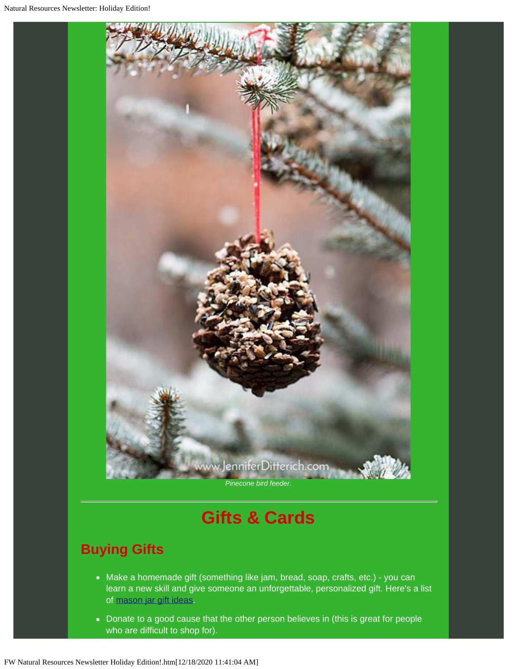

### **Gifts & Cards**

#### **Buying Gifts**

- Make a homemade gift (something like jam, bread, soap, crafts, etc.) you can learn a new skill and give someone an unforgettable, personalized gift. Here's a list of [mason jar gift ideas](https://lnks.gd/l/eyJhbGciOiJIUzI1NiJ9.eyJidWxsZXRpbl9saW5rX2lkIjoxMTMsInVyaSI6ImJwMjpjbGljayIsImJ1bGxldGluX2lkIjoiMjAyMDEyMTguMzIyNTQ2OTEiLCJ1cmwiOiJodHRwczovL3d3dy5yZWRib29rbWFnLmNvbS9saWZlL2ZyaWVuZHMtZmFtaWx5L2c4NTAvbWFzb24tamFyLWdpZnRzLz91dG1fY29udGVudD0mdXRtX21lZGl1bT1lbWFpbCZ1dG1fbmFtZT0mdXRtX3NvdXJjZT1nb3ZkZWxpdmVyeSZ1dG1fdGVybT0ifQ.kk1vaSVcjOlSfUgEZOvY4zzQswV8iGod5dpA5dttyFM/s/1119264387/br/92123665987-l).
- Donate to a good cause that the other person believes in (this is great for people who are difficult to shop for).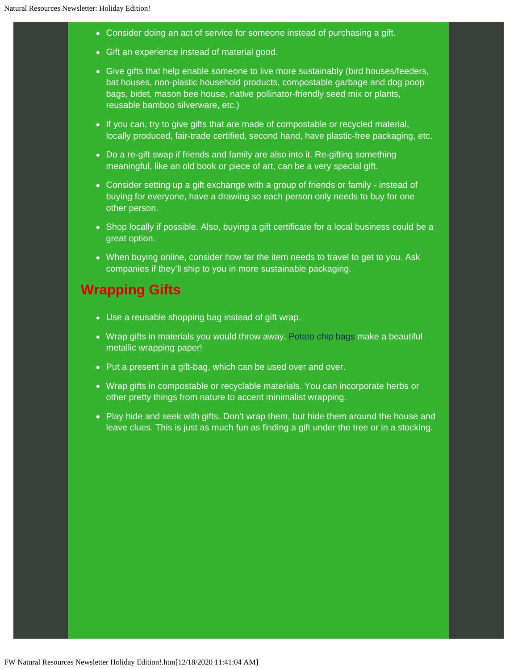- Consider doing an act of service for someone instead of purchasing a gift.
- Gift an experience instead of material good.
- Give gifts that help enable someone to live more sustainably (bird houses/feeders, bat houses, non-plastic household products, compostable garbage and dog poop bags, bidet, mason bee house, native pollinator-friendly seed mix or plants, reusable bamboo silverware, etc.)
- If you can, try to give gifts that are made of compostable or recycled material, locally produced, fair-trade certified, second hand, have plastic-free packaging, etc.
- Do a re-gift swap if friends and family are also into it. Re-gifting something meaningful, like an old book or piece of art, can be a very special gift.
- Consider setting up a gift exchange with a group of friends or family instead of buying for everyone, have a drawing so each person only needs to buy for one other person.
- Shop locally if possible. Also, buying a gift certificate for a local business could be a great option.
- When buying online, consider how far the item needs to travel to get to you. Ask companies if they'll ship to you in more sustainable packaging.

#### **Wrapping Gifts**

- Use a reusable shopping bag instead of gift wrap.
- Wrap gifts in materials you would throw away. [Potato chip bags](https://lnks.gd/l/eyJhbGciOiJIUzI1NiJ9.eyJidWxsZXRpbl9saW5rX2lkIjoxMTQsInVyaSI6ImJwMjpjbGljayIsImJ1bGxldGluX2lkIjoiMjAyMDEyMTguMzIyNTQ2OTEiLCJ1cmwiOiJodHRwczovL3d3dy55ZWxsb3dwYWdlcy5jYS90aXBzL2hvdy10by1tYWtlLWNyZWF0aXZlLWdpZnQtd3JhcHBpbmctd2l0aC1wb3RhdG8tY2hpcC1iYWdzLz91dG1fY29udGVudD0mdXRtX21lZGl1bT1lbWFpbCZ1dG1fbmFtZT0mdXRtX3NvdXJjZT1nb3ZkZWxpdmVyeSZ1dG1fdGVybT0ifQ.FkWK5Z5nNV2eJYPh3KKd8bXsAU92IFHk8nEcM7w7G4Q/s/1119264387/br/92123665987-l) make a beautiful metallic wrapping paper!
- Put a present in a gift-bag, which can be used over and over.
- Wrap gifts in compostable or recyclable materials. You can incorporate herbs or other pretty things from nature to accent minimalist wrapping.
- Play hide and seek with gifts. Don't wrap them, but hide them around the house and leave clues. This is just as much fun as finding a gift under the tree or in a stocking.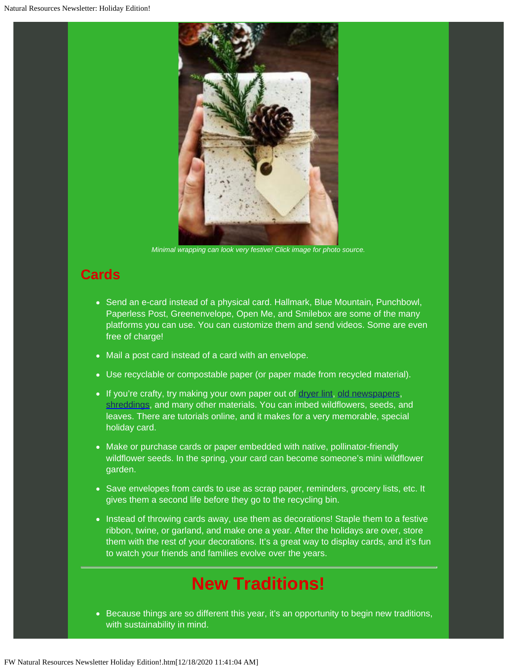

*Minimal wrapping can look very festive! Click image for photo source.*

### **Cards**

- Send an e-card instead of a physical card. Hallmark, Blue Mountain, Punchbowl, Paperless Post, Greenenvelope, Open Me, and Smilebox are some of the many platforms you can use. You can customize them and send videos. Some are even free of charge!
- Mail a post card instead of a card with an envelope.
- Use recyclable or compostable paper (or paper made from recycled material).
- If you're crafty, try making your own paper out of [dryer lint](https://lnks.gd/l/eyJhbGciOiJIUzI1NiJ9.eyJidWxsZXRpbl9saW5rX2lkIjoxMTYsInVyaSI6ImJwMjpjbGljayIsImJ1bGxldGluX2lkIjoiMjAyMDEyMTguMzIyNTQ2OTEiLCJ1cmwiOiJodHRwczovL3d3dy5pbnN0cnVjdGFibGVzLmNvbS9Ib3ctVG8tTWFrZS1QYXBlci1PdXQtT2YtTGludC8_dXRtX2NvbnRlbnQ9JnV0bV9tZWRpdW09ZW1haWwmdXRtX25hbWU9JnV0bV9zb3VyY2U9Z292ZGVsaXZlcnkmdXRtX3Rlcm09In0.GmLRzng-mvdphZchm--FGY-102nJbuZ51DaI_M2twrs/s/1119264387/br/92123665987-l), [old newspapers,](https://lnks.gd/l/eyJhbGciOiJIUzI1NiJ9.eyJidWxsZXRpbl9saW5rX2lkIjoxMTcsInVyaSI6ImJwMjpjbGljayIsImJ1bGxldGluX2lkIjoiMjAyMDEyMTguMzIyNTQ2OTEiLCJ1cmwiOiJodHRwczovL3d3dy5lZWt3aS5vcmcvYWN0aXZpdGllcy9hcnRzLWNyYWZ0cy9tYWtlLXlvdXItb3duLXBhcGVyP3V0bV9jb250ZW50PSZ1dG1fbWVkaXVtPWVtYWlsJnV0bV9uYW1lPSZ1dG1fc291cmNlPWdvdmRlbGl2ZXJ5JnV0bV90ZXJtPSJ9.F_xdUtXa3OMv5GMvpUz-TSyhDQILTqLxn413Q-gZS3w/s/1119264387/br/92123665987-l) [shreddings,](https://lnks.gd/l/eyJhbGciOiJIUzI1NiJ9.eyJidWxsZXRpbl9saW5rX2lkIjoxMTgsInVyaSI6ImJwMjpjbGljayIsImJ1bGxldGluX2lkIjoiMjAyMDEyMTguMzIyNTQ2OTEiLCJ1cmwiOiJodHRwczovL3d3dy5pbnN0cnVjdGFibGVzLmNvbS9Ib3ctdG8tTWFrZS1hbmQtUmVjeWNsZS1QYXBlci8_dXRtX2NvbnRlbnQ9JnV0bV9tZWRpdW09ZW1haWwmdXRtX25hbWU9JnV0bV9zb3VyY2U9Z292ZGVsaXZlcnkmdXRtX3Rlcm09In0.qq81DImCtLpz0UOv8PErqEXhDtku2iP_1hL6bGWnVwI/s/1119264387/br/92123665987-l) and many other materials. You can imbed wildflowers, seeds, and leaves. There are tutorials online, and it makes for a very memorable, special holiday card.
- Make or purchase cards or paper embedded with native, pollinator-friendly wildflower seeds. In the spring, your card can become someone's mini wildflower garden.
- Save envelopes from cards to use as scrap paper, reminders, grocery lists, etc. It gives them a second life before they go to the recycling bin.
- Instead of throwing cards away, use them as decorations! Staple them to a festive ribbon, twine, or garland, and make one a year. After the holidays are over, store them with the rest of your decorations. It's a great way to display cards, and it's fun to watch your friends and families evolve over the years.

### **New Traditions!**

• Because things are so different this year, it's an opportunity to begin new traditions, with sustainability in mind.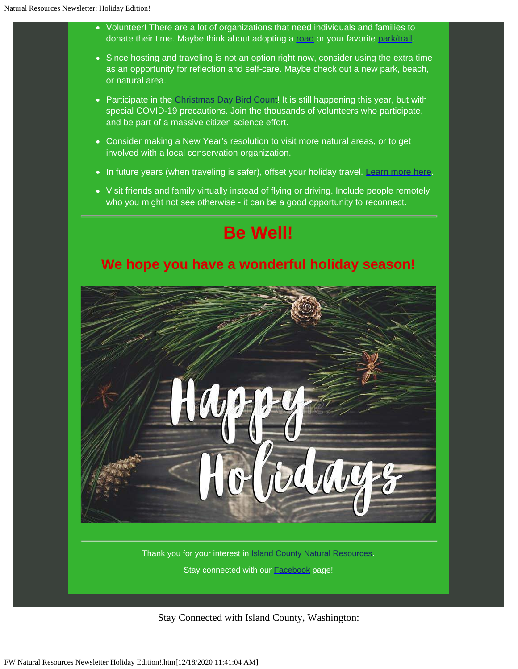- Volunteer! There are a lot of organizations that need individuals and families to donate their time. Maybe think about adopting a [road](https://lnks.gd/l/eyJhbGciOiJIUzI1NiJ9.eyJidWxsZXRpbl9saW5rX2lkIjoxMTksInVyaSI6ImJwMjpjbGljayIsImJ1bGxldGluX2lkIjoiMjAyMDEyMTguMzIyNTQ2OTEiLCJ1cmwiOiJodHRwczovL3d3dy5pc2xhbmRjb3VudHl3YS5nb3YvUHVibGljV29ya3MvUm9hZHMvTWFpbnRlbmFuY2UvUGFnZXMvYWRvcHRhcm9hZC5hc3B4P3V0bV9jb250ZW50PSZ1dG1fbWVkaXVtPWVtYWlsJnV0bV9uYW1lPSZ1dG1fc291cmNlPWdvdmRlbGl2ZXJ5JnV0bV90ZXJtPSM6fjp0ZXh0PVRoZSUyMEFkb3B0JTJEQSUyRFJvYWQlMjBwcm9ncmFtLHJvYWQlMjBzeXN0ZW0lMjBpbiUyMElzbGFuZCUyMENvdW50eS4ifQ.aP9mKFpih1a_s5_mm83c9V6TzzwRiqq4lI56UDmRfRc/s/1119264387/br/92123665987-l) or your favorite [park/trail](https://lnks.gd/l/eyJhbGciOiJIUzI1NiJ9.eyJidWxsZXRpbl9saW5rX2lkIjoxMjAsInVyaSI6ImJwMjpjbGljayIsImJ1bGxldGluX2lkIjoiMjAyMDEyMTguMzIyNTQ2OTEiLCJ1cmwiOiJodHRwczovL3d3dy5pc2xhbmRjb3VudHl3YS5nb3YvUHVibGljV29ya3MvUGFya3MvUGFnZXMvUGFya3MtUmVzb3VyY2VzLmFzcHg_dXRtX2NvbnRlbnQ9JnV0bV9tZWRpdW09ZW1haWwmdXRtX25hbWU9JnV0bV9zb3VyY2U9Z292ZGVsaXZlcnkmdXRtX3Rlcm09In0.NZTNhLh1tNl_7XWsI0N6tedaVM4EvyfvVHqPXyjODwg/s/1119264387/br/92123665987-l).
- Since hosting and traveling is not an option right now, consider using the extra time as an opportunity for reflection and self-care. Maybe check out a new park, beach, or natural area.
- Participate in the [Christmas Day Bird Count!](https://lnks.gd/l/eyJhbGciOiJIUzI1NiJ9.eyJidWxsZXRpbl9saW5rX2lkIjoxMjEsInVyaSI6ImJwMjpjbGljayIsImJ1bGxldGluX2lkIjoiMjAyMDEyMTguMzIyNTQ2OTEiLCJ1cmwiOiJodHRwczovL3d3dy5hdWR1Ym9uLm9yZy9jb25zZXJ2YXRpb24vam9pbi1jaHJpc3RtYXMtYmlyZC1jb3VudD91dG1fY29udGVudD0mdXRtX21lZGl1bT1lbWFpbCZ1dG1fbmFtZT0mdXRtX3NvdXJjZT1nb3ZkZWxpdmVyeSZ1dG1fdGVybT0ifQ.D85KzvRvmkh4LhdzfxAHGDW06aHQu-RufAEciBs0tfA/s/1119264387/br/92123665987-l) It is still happening this year, but with special COVID-19 precautions. Join the thousands of volunteers who participate, and be part of a massive citizen science effort.
- Consider making a New Year's resolution to visit more natural areas, or to get involved with a local conservation organization.
- In future years (when traveling is safer), offset your holiday travel. [Learn more here](https://lnks.gd/l/eyJhbGciOiJIUzI1NiJ9.eyJidWxsZXRpbl9saW5rX2lkIjoxMjIsInVyaSI6ImJwMjpjbGljayIsImJ1bGxldGluX2lkIjoiMjAyMDEyMTguMzIyNTQ2OTEiLCJ1cmwiOiJodHRwczovL3d3dy53YXNoaW5ndG9ucG9zdC5jb20vdHJhdmVsL3RpcHMvcXVlc3Rpb25zLWFib3V0LWNhcmJvbi1vZmZzZXRzLWZsaWdodHMtYW5zd2VyZWQvP3V0bV9jb250ZW50PSZ1dG1fbWVkaXVtPWVtYWlsJnV0bV9uYW1lPSZ1dG1fc291cmNlPWdvdmRlbGl2ZXJ5JnV0bV90ZXJtPSJ9.ryzpgqQMy4Pq8FIjxZmMTTqTRasTNendHE9MwVx_P3c/s/1119264387/br/92123665987-l).
- Visit friends and family virtually instead of flying or driving. Include people remotely who you might not see otherwise - it can be a good opportunity to reconnect.



Thank you for your interest in **Island County Natural [Resources](https://lnks.gd/l/eyJhbGciOiJIUzI1NiJ9.eyJidWxsZXRpbl9saW5rX2lkIjoxMjMsInVyaSI6ImJwMjpjbGljayIsImJ1bGxldGluX2lkIjoiMjAyMDEyMTguMzIyNTQ2OTEiLCJ1cmwiOiJodHRwczovL3d3dy5pc2xhbmRjb3VudHl3YS5nb3YvSGVhbHRoL0ROUi9QYWdlcy9Ib21lLmFzcHg_dXRtX2NvbnRlbnQ9JnV0bV9tZWRpdW09ZW1haWwmdXRtX25hbWU9JnV0bV9zb3VyY2U9Z292ZGVsaXZlcnkmdXRtX3Rlcm09In0.2NAgQD-rAL8MBb9bQ-WjEe7L1KDrgJhT3CMnLSuGQqI/s/1119264387/br/92123665987-l)**. Stay connected with our [Facebook](https://lnks.gd/l/eyJhbGciOiJIUzI1NiJ9.eyJidWxsZXRpbl9saW5rX2lkIjoxMjQsInVyaSI6ImJwMjpjbGljayIsImJ1bGxldGluX2lkIjoiMjAyMDEyMTguMzIyNTQ2OTEiLCJ1cmwiOiJodHRwczovL3d3dy5mYWNlYm9vay5jb20vSUNFSEROUi8_bW9kYWw9YWRtaW5fdG9kb190b3VyJnV0bV9jb250ZW50PSZ1dG1fbWVkaXVtPWVtYWlsJnV0bV9uYW1lPSZ1dG1fc291cmNlPWdvdmRlbGl2ZXJ5JnV0bV90ZXJtPSJ9.ayDpMpA87kOqAkHNdZ5XWVmPavgV6E4DvuVQsX7wDOo/s/1119264387/br/92123665987-l) page!

Stay Connected with Island County, Washington: